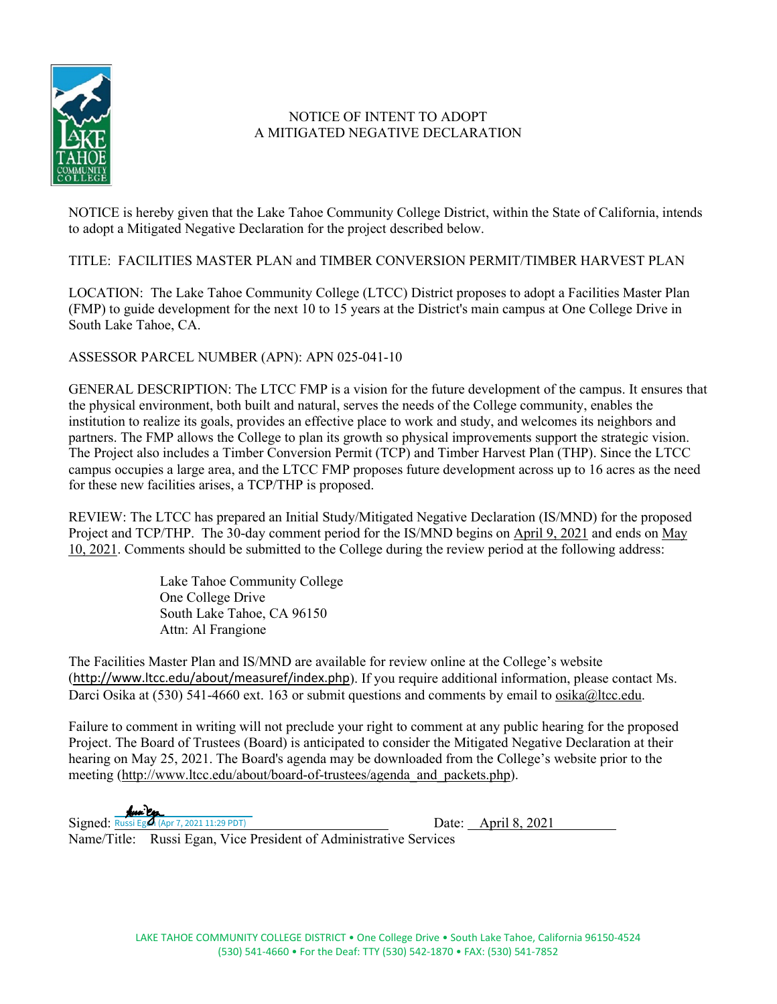

## NOTICE OF INTENT TO ADOPT A MITIGATED NEGATIVE DECLARATION

NOTICE is hereby given that the Lake Tahoe Community College District, within the State of California, intends to adopt a Mitigated Negative Declaration for the project described below.

TITLE: FACILITIES MASTER PLAN and TIMBER CONVERSION PERMIT/TIMBER HARVEST PLAN

LOCATION: The Lake Tahoe Community College (LTCC) District proposes to adopt a Facilities Master Plan (FMP) to guide development for the next 10 to 15 years at the District's main campus at One College Drive in South Lake Tahoe, CA.

ASSESSOR PARCEL NUMBER (APN): APN 025-041-10

GENERAL DESCRIPTION: The LTCC FMP is a vision for the future development of the campus. It ensures that the physical environment, both built and natural, serves the needs of the College community, enables the institution to realize its goals, provides an effective place to work and study, and welcomes its neighbors and partners. The FMP allows the College to plan its growth so physical improvements support the strategic vision. The Project also includes a Timber Conversion Permit (TCP) and Timber Harvest Plan (THP). Since the LTCC campus occupies a large area, and the LTCC FMP proposes future development across up to 16 acres as the need for these new facilities arises, a TCP/THP is proposed.

REVIEW: The LTCC has prepared an Initial Study/Mitigated Negative Declaration (IS/MND) for the proposed Project and TCP/THP. The 30-day comment period for the IS/MND begins on April 9, 2021 and ends on May 10, 2021. Comments should be submitted to the College during the review period at the following address:

> Lake Tahoe Community College One College Drive South Lake Tahoe, CA 96150 Attn: Al Frangione

The Facilities Master Plan and IS/MND are available for review online at the College's website (<http://www.ltcc.edu/about/measuref/index.php>). If you require additional information, please contact Ms. Darci Osika at (530) 541-4660 ext. 163 or submit questions and comments by email to [osika@ltcc.edu.](mailto:osika@ltcc.edu)

Failure to comment in writing will not preclude your right to comment at any public hearing for the proposed Project. The Board of Trustees (Board) is anticipated to consider the Mitigated Negative Declaration at their hearing on May 25, 2021. The Board's agenda may be downloaded from the College's website prior to the meeting [\(http://www.ltcc.edu/about/board-of-trustees/agenda\\_and\\_packets.php\)](http://www.ltcc.edu/about/board-of-trustees/agenda_and_packets.php).

Signed:Russi Egan (Apr 7, 2021 11:29 PDT) Date: April 8, 2021

Name/Title: Russi Egan, Vice President of Administrative Services